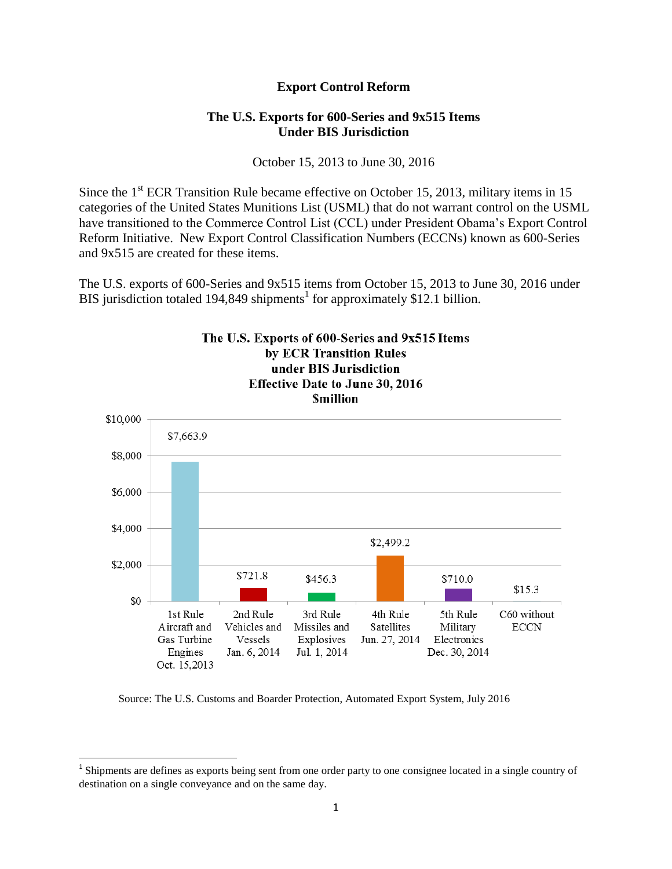## **Export Control Reform**

## **The U.S. Exports for 600-Series and 9x515 Items Under BIS Jurisdiction**

October 15, 2013 to June 30, 2016

Since the 1<sup>st</sup> ECR Transition Rule became effective on October 15, 2013, military items in 15 categories of the United States Munitions List (USML) that do not warrant control on the USML have transitioned to the Commerce Control List (CCL) under President Obama's Export Control Reform Initiative. New Export Control Classification Numbers (ECCNs) known as 600-Series and 9x515 are created for these items.

The U.S. exports of 600-Series and 9x515 items from October 15, 2013 to June 30, 2016 under BIS jurisdiction totaled 194,849 shipments<sup>1</sup> for approximately \$12.1 billion.



Source: The U.S. Customs and Boarder Protection, Automated Export System, July 2016

<sup>&</sup>lt;sup>1</sup> Shipments are defines as exports being sent from one order party to one consignee located in a single country of destination on a single conveyance and on the same day.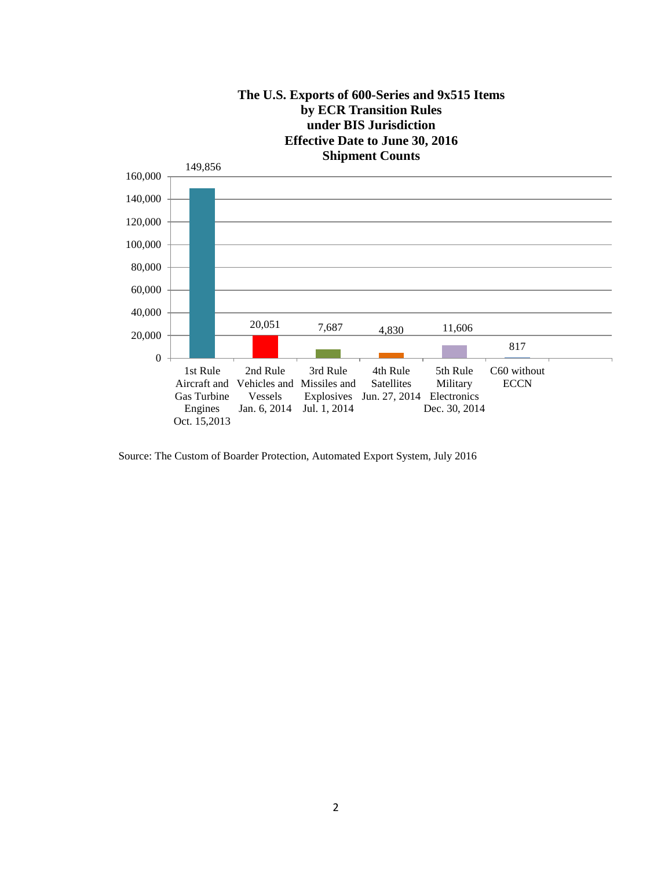

Source: The Custom of Boarder Protection, Automated Export System, July 2016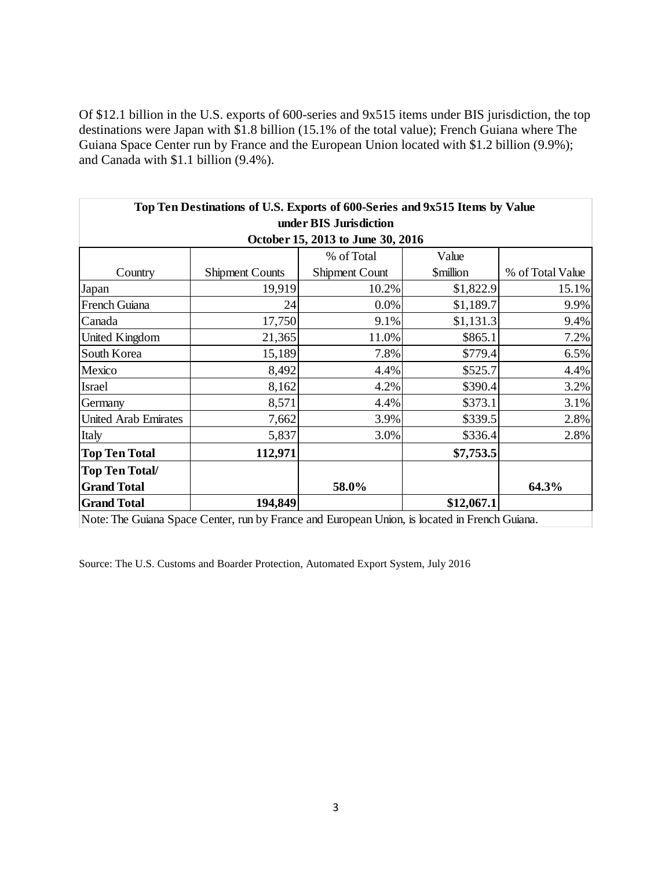Of \$12.1 billion in the U.S. exports of 600-series and 9x515 items under BIS jurisdiction, the top destinations were Japan with \$1.8 billion (15.1% of the total value); French Guiana where The Guiana Space Center run by France and the European Union located with \$1.2 billion (9.9%); and Canada with \$1.1 billion (9.4%).

| Top Ten Destinations of U.S. Exports of 600-Series and 9x515 Items by Value                      |                                                  |                               |                                 |                      |
|--------------------------------------------------------------------------------------------------|--------------------------------------------------|-------------------------------|---------------------------------|----------------------|
| under BIS Jurisdiction                                                                           |                                                  |                               |                                 |                      |
| October 15, 2013 to June 30, 2016                                                                |                                                  |                               |                                 |                      |
|                                                                                                  |                                                  | % of Total                    | Value                           |                      |
| Country                                                                                          | <b>Shipment Counts</b>                           | Shipment Count                | <b><i><u>Smillion</u></i></b>   | % of Total Value     |
| Japan                                                                                            | 19,919                                           | 10.2%                         | \$1,822.9                       | 15.1%                |
| French Guiana                                                                                    | 24                                               | 0.0%                          | \$1,189.7                       | 9.9%                 |
| Canada                                                                                           | 17,750                                           | 9.1%                          | \$1,131.3                       | 9.4%                 |
| United Kingdom                                                                                   | 21,365                                           | 11.0%                         | \$865.1                         | 7.2%                 |
| South Korea                                                                                      | 15,189                                           | 7.8%                          | \$779.4                         | 6.5%                 |
| Mexico                                                                                           | 8,492                                            | 4.4%                          | \$525.7                         | 4.4%                 |
| Israel                                                                                           | 8,162                                            | 4.2%                          | \$390.4                         | 3.2%                 |
| Germany                                                                                          | 8,571                                            | 4.4%                          | \$373.1                         | 3.1%                 |
| <b>United Arab Emirates</b>                                                                      | 7,662                                            | 3.9%                          | \$339.5                         | 2.8%                 |
| Italy                                                                                            | 5,837                                            | 3.0%                          | \$336.4                         | 2.8%                 |
| <b>Top Ten Total</b>                                                                             | 112,971                                          |                               | \$7,753.5                       |                      |
| <b>Top Ten Total/</b>                                                                            |                                                  |                               |                                 |                      |
| <b>Grand Total</b>                                                                               |                                                  | 58.0%                         |                                 | 64.3%                |
| <b>Grand Total</b><br>$\mathbf{M}$ $\mathbf{M}$ $\mathbf{M}$ $\mathbf{M}$ $\mathbf{M}$<br>$\sim$ | 194,849<br>$\sim$ $\sim$<br>$1 \quad \mathbf{r}$ | $T$ $T$ $T$<br>1 <sub>1</sub> | \$12,067.1<br>$\cdots$ $\cdots$ | $\sim$ $\sim$ $\sim$ |

Note: The Guiana Space Center, run by France and European Union, is located in French Guiana.

Source: The U.S. Customs and Boarder Protection, Automated Export System, July 2016